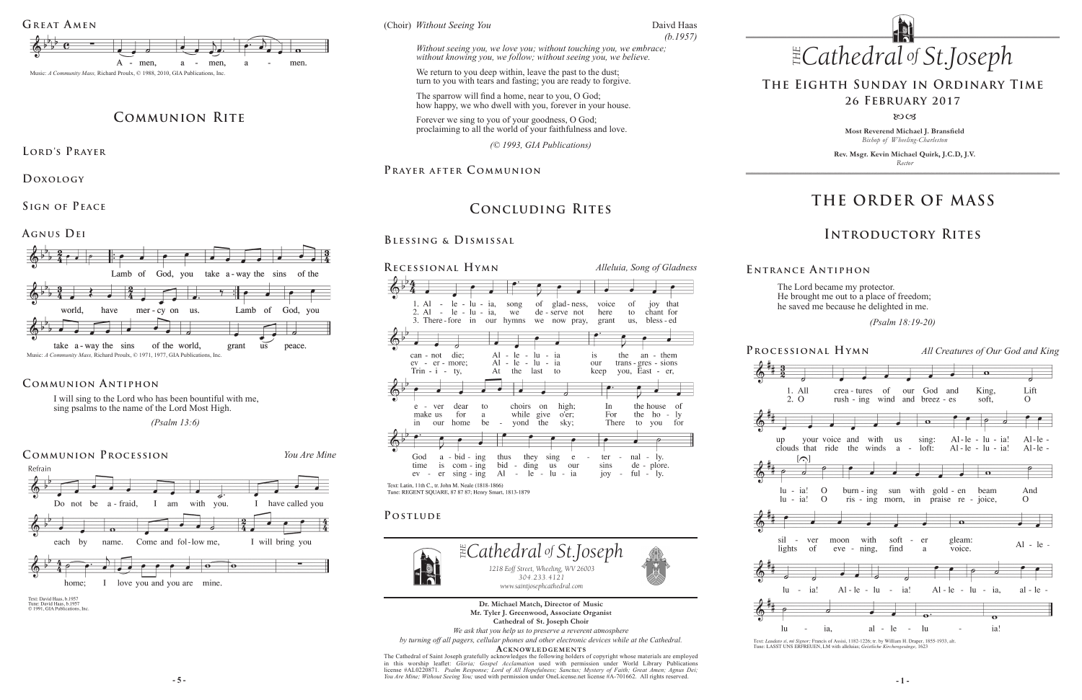**Most Reverend Michael J. Bransfield** *Bishop of Wheeling-Charleston*

**Rev. Msgr. Kevin Michael Quirk, J.C.D, J.V.** *Rector*

*www.saintjosephcathedral.com www.saintjosephcathedral.com*

# **THE ORDER OF MASS**

### **Introductory Rites**

## **The Eighth Sunday in Ordinary Time 26 February 2017**

#### 80CB

# **Concluding Rites**

### **Blessing & Dismissal**

## **Prayer after C ommunion**















The Lord became my protector. He brought me out to a place of freedom; he saved me because he delighted in me.

 *(Psalm 18:19-20)* 

Text: Laudato si, mi Signor; Francis of Assisi, 1182-1226; tr. by William H. Draper, 1855-1933, alt. Tune: LASST UNS ERFREUEN, LM with alleluias; Geistliche Kirchengesänge, 1623

#### **E ntrance A ntiphon**





*<i> Seeing You*<br> **Theory** Structure Structure Structure Structure Structure Structure Structure Structure Structure Structure Structure Structure Structure Structure Structure Structure Structure Structure Structure Struc (Choir) *Without Seeing You* 

**- 5 - - 1 -** *You Are Mine; Without Seeing You;* used with permission under OneLicense.net license #A-701662.All rights reserved. The Cathedral of Saint Joseph gratefully acknowledges the following holders of copyright whose materials are employed<br>in this worship leaflet: *Gloria; Gospel Acclamation* used with permission under World Library Publicati license #AL0220871. *Psalm Response; Lord of All Hopefulness; Sanctus; Mystery of Faith; Great Amen; Agnus Dei;* 



I will sing to the Lord who has been bountiful with me, sing psalms to the name of the Lord Most High.

 *(Psalm 13:6)*

#### **Communion Antiphon**

**Dr. Michael Match, Director of Music Mr. Tyler J. Greenwood, Associate Organist Cathedral of St. Joseph Choir**

*We ask that you help us to preserve a reverent atmosphere*

*of .Joseph Without seeing you, we love you; without touching you, we embrace; without knowing you, we follow; without seeing you, we believe.* 

*by turning off all pagers, cellular phones and other electronic devices while at the Cathedral.*

**Acknowledgement s**

## **Communion Rite**

**Lord's Prayer**

**Doxology** 

**Sign of Peace** 

**Agnus Dei**



*(© 1993, GIA Publications)* 

Daivd Haas *(b.1957)*

We return to you deep within, leave the past to the dust; turn to you with tears and fasting; you are ready to forgive.

The sparrow will find a home, near to you, O God; how happy, we who dwell with you, forever in your house.

Forever we sing to you of your goodness, O God; proclaiming to all the world of your faithfulness and love.